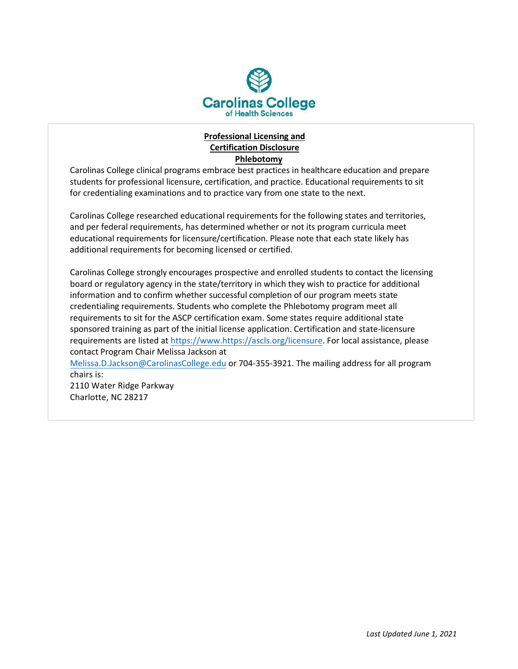

## **Professional Licensing and Certification Disclosure Phlebotomy**

Carolinas College clinical programs embrace best practices in healthcare education and prepare students for professional licensure, certification, and practice. Educational requirements to sit for credentialing examinations and to practice vary from one state to the next.

Carolinas College researched educational requirements for the following states and territories, and per federal requirements, has determined whether or not its program curricula meet educational requirements for licensure/certification. Please note that each state likely has additional requirements for becoming licensed or certified.

Carolinas College strongly encourages prospective and enrolled students to contact the licensing board or regulatory agency in the state/territory in which they wish to practice for additional information and to confirm whether successful completion of our program meets state credentialing requirements. Students who complete the Phlebotomy program meet all requirements to sit for the ASCP certification exam. Some states require additional state sponsored training as part of the initial license application. Certification and state-licensure requirements are listed at https://www.<https://ascls.org/licensure>. For local assistance, please contact Program Chair Melissa Jackson at

[Melissa.D.Jackson@CarolinasCollege.edu](mailto:Melissa.D.Jackson@CarolinasCollege.edu) or 704-355-3921. The mailing address for all program chairs is:

2110 Water Ridge Parkway Charlotte, NC 28217